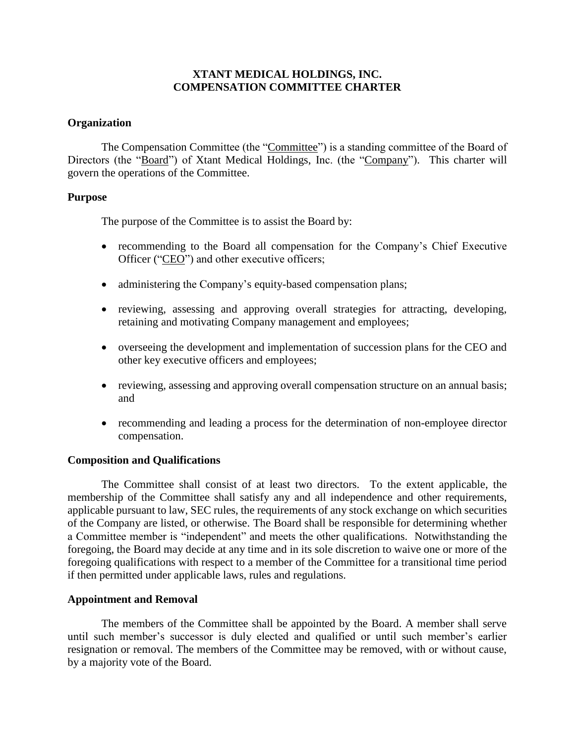# **XTANT MEDICAL HOLDINGS, INC. COMPENSATION COMMITTEE CHARTER**

## **Organization**

The Compensation Committee (the "Committee") is a standing committee of the Board of Directors (the "Board") of Xtant Medical Holdings, Inc. (the "Company"). This charter will govern the operations of the Committee.

### **Purpose**

The purpose of the Committee is to assist the Board by:

- recommending to the Board all compensation for the Company's Chief Executive Officer ("CEO") and other executive officers;
- administering the Company's equity-based compensation plans;
- reviewing, assessing and approving overall strategies for attracting, developing, retaining and motivating Company management and employees;
- overseeing the development and implementation of succession plans for the CEO and other key executive officers and employees;
- reviewing, assessing and approving overall compensation structure on an annual basis; and
- recommending and leading a process for the determination of non-employee director compensation.

## **Composition and Qualifications**

The Committee shall consist of at least two directors. To the extent applicable, the membership of the Committee shall satisfy any and all independence and other requirements, applicable pursuant to law, SEC rules, the requirements of any stock exchange on which securities of the Company are listed, or otherwise. The Board shall be responsible for determining whether a Committee member is "independent" and meets the other qualifications. Notwithstanding the foregoing, the Board may decide at any time and in its sole discretion to waive one or more of the foregoing qualifications with respect to a member of the Committee for a transitional time period if then permitted under applicable laws, rules and regulations.

## **Appointment and Removal**

The members of the Committee shall be appointed by the Board. A member shall serve until such member's successor is duly elected and qualified or until such member's earlier resignation or removal. The members of the Committee may be removed, with or without cause, by a majority vote of the Board.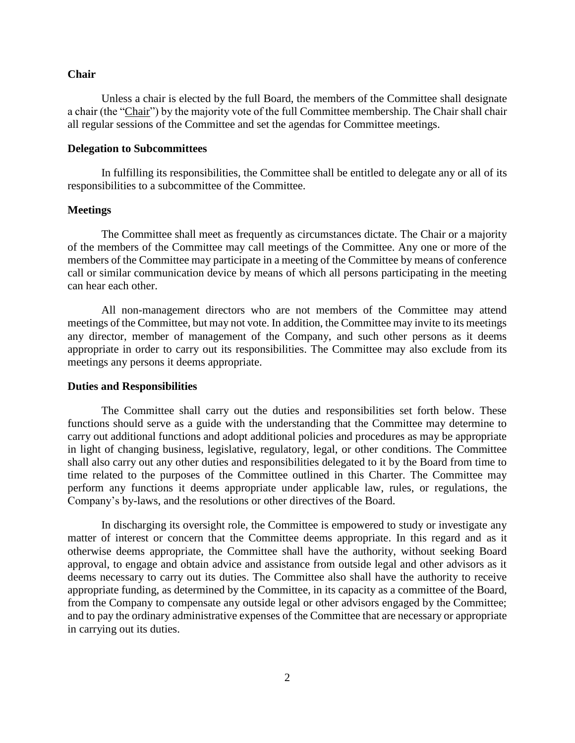#### **Chair**

Unless a chair is elected by the full Board, the members of the Committee shall designate a chair (the "Chair") by the majority vote of the full Committee membership. The Chair shall chair all regular sessions of the Committee and set the agendas for Committee meetings.

#### **Delegation to Subcommittees**

In fulfilling its responsibilities, the Committee shall be entitled to delegate any or all of its responsibilities to a subcommittee of the Committee.

#### **Meetings**

The Committee shall meet as frequently as circumstances dictate. The Chair or a majority of the members of the Committee may call meetings of the Committee. Any one or more of the members of the Committee may participate in a meeting of the Committee by means of conference call or similar communication device by means of which all persons participating in the meeting can hear each other.

All non-management directors who are not members of the Committee may attend meetings of the Committee, but may not vote. In addition, the Committee may invite to its meetings any director, member of management of the Company, and such other persons as it deems appropriate in order to carry out its responsibilities. The Committee may also exclude from its meetings any persons it deems appropriate.

#### **Duties and Responsibilities**

The Committee shall carry out the duties and responsibilities set forth below. These functions should serve as a guide with the understanding that the Committee may determine to carry out additional functions and adopt additional policies and procedures as may be appropriate in light of changing business, legislative, regulatory, legal, or other conditions. The Committee shall also carry out any other duties and responsibilities delegated to it by the Board from time to time related to the purposes of the Committee outlined in this Charter. The Committee may perform any functions it deems appropriate under applicable law, rules, or regulations, the Company's by-laws, and the resolutions or other directives of the Board.

In discharging its oversight role, the Committee is empowered to study or investigate any matter of interest or concern that the Committee deems appropriate. In this regard and as it otherwise deems appropriate, the Committee shall have the authority, without seeking Board approval, to engage and obtain advice and assistance from outside legal and other advisors as it deems necessary to carry out its duties. The Committee also shall have the authority to receive appropriate funding, as determined by the Committee, in its capacity as a committee of the Board, from the Company to compensate any outside legal or other advisors engaged by the Committee; and to pay the ordinary administrative expenses of the Committee that are necessary or appropriate in carrying out its duties.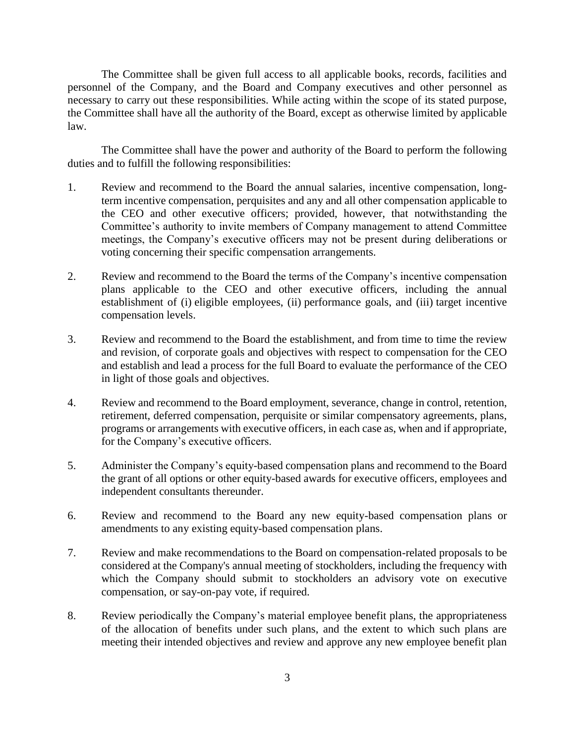The Committee shall be given full access to all applicable books, records, facilities and personnel of the Company, and the Board and Company executives and other personnel as necessary to carry out these responsibilities. While acting within the scope of its stated purpose, the Committee shall have all the authority of the Board, except as otherwise limited by applicable law.

The Committee shall have the power and authority of the Board to perform the following duties and to fulfill the following responsibilities:

- 1. Review and recommend to the Board the annual salaries, incentive compensation, longterm incentive compensation, perquisites and any and all other compensation applicable to the CEO and other executive officers; provided, however, that notwithstanding the Committee's authority to invite members of Company management to attend Committee meetings, the Company's executive officers may not be present during deliberations or voting concerning their specific compensation arrangements.
- 2. Review and recommend to the Board the terms of the Company's incentive compensation plans applicable to the CEO and other executive officers, including the annual establishment of (i) eligible employees, (ii) performance goals, and (iii) target incentive compensation levels.
- 3. Review and recommend to the Board the establishment, and from time to time the review and revision, of corporate goals and objectives with respect to compensation for the CEO and establish and lead a process for the full Board to evaluate the performance of the CEO in light of those goals and objectives.
- 4. Review and recommend to the Board employment, severance, change in control, retention, retirement, deferred compensation, perquisite or similar compensatory agreements, plans, programs or arrangements with executive officers, in each case as, when and if appropriate, for the Company's executive officers.
- 5. Administer the Company's equity-based compensation plans and recommend to the Board the grant of all options or other equity-based awards for executive officers, employees and independent consultants thereunder.
- 6. Review and recommend to the Board any new equity-based compensation plans or amendments to any existing equity-based compensation plans.
- 7. Review and make recommendations to the Board on compensation-related proposals to be considered at the Company's annual meeting of stockholders, including the frequency with which the Company should submit to stockholders an advisory vote on executive compensation, or say-on-pay vote, if required.
- 8. Review periodically the Company's material employee benefit plans, the appropriateness of the allocation of benefits under such plans, and the extent to which such plans are meeting their intended objectives and review and approve any new employee benefit plan